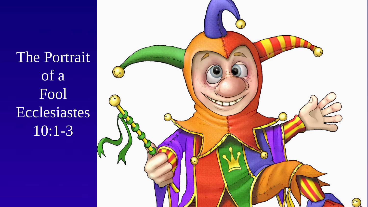The Portrait of a Fool Ecclesiastes 10:1-3

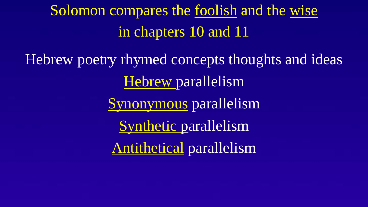# Solomon compares the foolish and the wise in chapters 10 and 11

Hebrew poetry rhymed concepts thoughts and ideas Hebrew parallelism Synonymous parallelism Synthetic parallelism Antithetical parallelism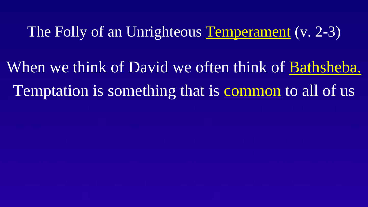When we think of David we often think of Bathsheba. Temptation is something that is common to all of us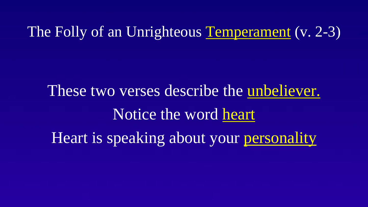These two verses describe the unbeliever. Notice the word heart Heart is speaking about your personality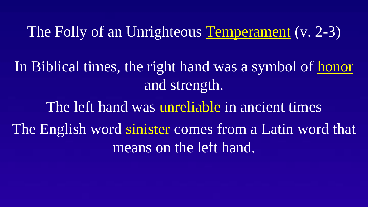In Biblical times, the right hand was a symbol of honor and strength.

The left hand was unreliable in ancient times The English word sinister comes from a Latin word that means on the left hand.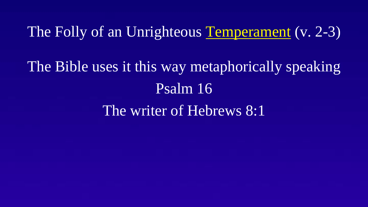The Bible uses it this way metaphorically speaking Psalm 16 The writer of Hebrews 8:1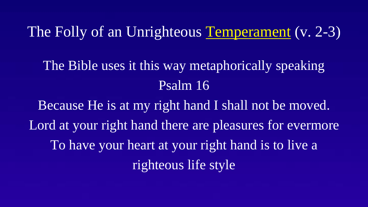The Bible uses it this way metaphorically speaking Psalm 16

Because He is at my right hand I shall not be moved. Lord at your right hand there are pleasures for evermore To have your heart at your right hand is to live a righteous life style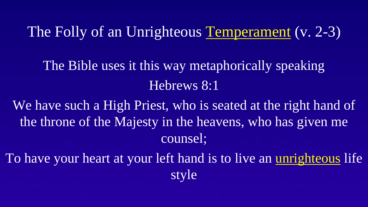The Bible uses it this way metaphorically speaking Hebrews 8:1

We have such a High Priest, who is seated at the right hand of the throne of the Majesty in the heavens, who has given me counsel;

To have your heart at your left hand is to live an unrighteous life style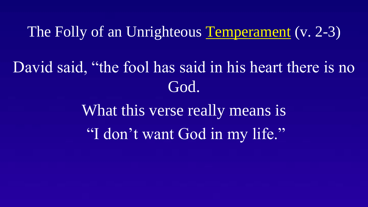# David said, "the fool has said in his heart there is no God.

What this verse really means is "I don't want God in my life."